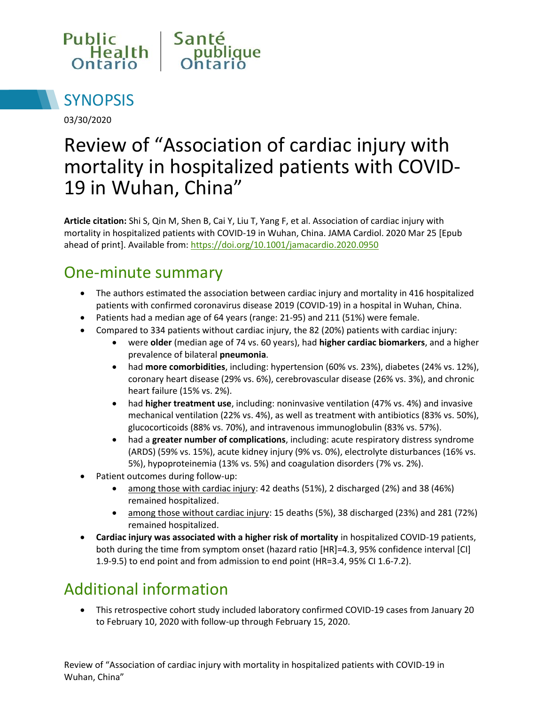



03/30/2020

# Review of "Association of cardiac injury with mortality in hospitalized patients with COVID-19 in Wuhan, China"

**Article citation:** Shi S, Qin M, Shen B, Cai Y, Liu T, Yang F, et al. Association of cardiac injury with mortality in hospitalized patients with COVID-19 in Wuhan, China. JAMA Cardiol. 2020 Mar 25 [Epub ahead of print]. Available from: <https://doi.org/10.1001/jamacardio.2020.0950>

#### One-minute summary

- The authors estimated the association between cardiac injury and mortality in 416 hospitalized patients with confirmed coronavirus disease 2019 (COVID-19) in a hospital in Wuhan, China.
- Patients had a median age of 64 years (range: 21-95) and 211 (51%) were female.
- Compared to 334 patients without cardiac injury, the 82 (20%) patients with cardiac injury:
	- were **older** (median age of 74 vs. 60 years), had **higher cardiac biomarkers**, and a higher prevalence of bilateral **pneumonia**.
	- had **more comorbidities**, including: hypertension (60% vs. 23%), diabetes (24% vs. 12%), coronary heart disease (29% vs. 6%), cerebrovascular disease (26% vs. 3%), and chronic heart failure (15% vs. 2%).
	- had **higher treatment use**, including: noninvasive ventilation (47% vs. 4%) and invasive mechanical ventilation (22% vs. 4%), as well as treatment with antibiotics (83% vs. 50%), glucocorticoids (88% vs. 70%), and intravenous immunoglobulin (83% vs. 57%).
	- had a **greater number of complications**, including: acute respiratory distress syndrome (ARDS) (59% vs. 15%), acute kidney injury (9% vs. 0%), electrolyte disturbances (16% vs. 5%), hypoproteinemia (13% vs. 5%) and coagulation disorders (7% vs. 2%).
- Patient outcomes during follow-up:
	- among those with cardiac injury: 42 deaths (51%), 2 discharged (2%) and 38 (46%) remained hospitalized.
	- among those without cardiac injury: 15 deaths (5%), 38 discharged (23%) and 281 (72%) remained hospitalized.
- **Cardiac injury was associated with a higher risk of mortality** in hospitalized COVID-19 patients, both during the time from symptom onset (hazard ratio [HR]=4.3, 95% confidence interval [CI] 1.9-9.5) to end point and from admission to end point (HR=3.4, 95% CI 1.6-7.2).

## Additional information

 This retrospective cohort study included laboratory confirmed COVID-19 cases from January 20 to February 10, 2020 with follow-up through February 15, 2020.